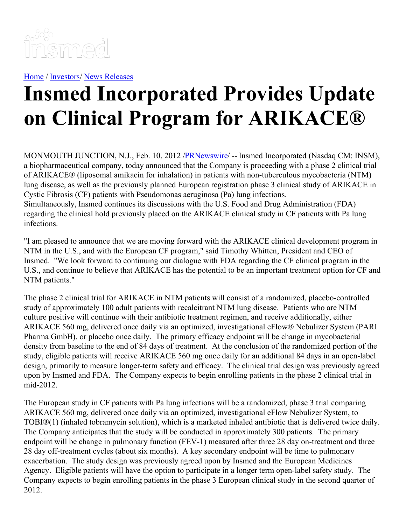

[Home](https://insmed.com/) / [Investors](https://investor.insmed.com/index)/ News [Releases](https://investor.insmed.com/releases)

## **Insmed Incorporated Provides Update on Clinical Program for ARIKACE®**

MONMOUTH JUNCTION, N.J., Feb. 10, 2012 /**PRNewswire/** -- Insmed Incorporated (Nasdaq CM: INSM), a biopharmaceutical company, today announced that the Company is proceeding with a phase 2 clinical trial of ARIKACE® (liposomal amikacin for inhalation) in patients with non-tuberculous mycobacteria (NTM) lung disease, as well as the previously planned European registration phase 3 clinical study of ARIKACE in Cystic Fibrosis (CF) patients with Pseudomonas aeruginosa (Pa) lung infections. Simultaneously, Insmed continues its discussions with the U.S. Food and Drug Administration (FDA) regarding the clinical hold previously placed on the ARIKACE clinical study in CF patients with Pa lung infections.

"I am pleased to announce that we are moving forward with the ARIKACE clinical development program in NTM in the U.S., and with the European CF program," said Timothy Whitten, President and CEO of Insmed. "We look forward to continuing our dialogue with FDA regarding the CF clinical program in the U.S., and continue to believe that ARIKACE has the potential to be an important treatment option for CF and NTM patients."

The phase 2 clinical trial for ARIKACE in NTM patients will consist of a randomized, placebo-controlled study of approximately 100 adult patients with recalcitrant NTM lung disease. Patients who are NTM culture positive will continue with their antibiotic treatment regimen, and receive additionally, either ARIKACE 560 mg, delivered once daily via an optimized, investigational eFlow® Nebulizer System (PARI Pharma GmbH), or placebo once daily. The primary efficacy endpoint will be change in mycobacterial density from baseline to the end of 84 days of treatment. At the conclusion of the randomized portion of the study, eligible patients will receive ARIKACE 560 mg once daily for an additional 84 days in an open-label design, primarily to measure longer-term safety and efficacy. The clinical trial design was previously agreed upon by Insmed and FDA. The Company expects to begin enrolling patients in the phase 2 clinical trial in mid-2012.

The European study in CF patients with Pa lung infections will be a randomized, phase 3 trial comparing ARIKACE 560 mg, delivered once daily via an optimized, investigational eFlow Nebulizer System, to TOBI®(1) (inhaled tobramycin solution), which is a marketed inhaled antibiotic that is delivered twice daily. The Company anticipates that the study will be conducted in approximately 300 patients. The primary endpoint will be change in pulmonary function (FEV-1) measured after three 28 day on-treatment and three 28 day off-treatment cycles (about six months). A key secondary endpoint will be time to pulmonary exacerbation. The study design was previously agreed upon by Insmed and the European Medicines Agency. Eligible patients will have the option to participate in a longer term open-label safety study. The Company expects to begin enrolling patients in the phase 3 European clinical study in the second quarter of 2012.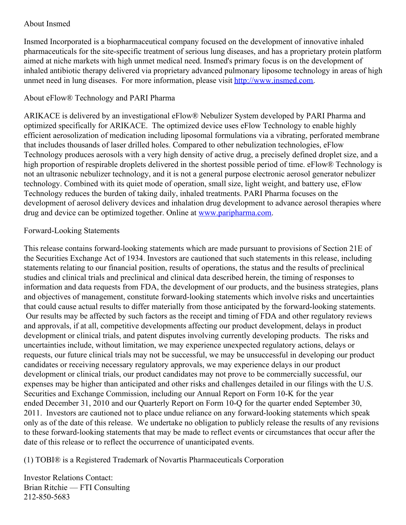## About Insmed

Insmed Incorporated is a biopharmaceutical company focused on the development of innovative inhaled pharmaceuticals for the site-specific treatment of serious lung diseases, and has a proprietary protein platform aimed at niche markets with high unmet medical need. Insmed's primary focus is on the development of inhaled antibiotic therapy delivered via proprietary advanced pulmonary liposome technology in areas of high unmet need in lung diseases. For more information, please visit [http://www.insmed.com](http://www.insmed.com/).

## About eFlow® Technology and PARI Pharma

ARIKACE is delivered by an investigational eFlow® Nebulizer System developed by PARI Pharma and optimized specifically for ARIKACE. The optimized device uses eFlow Technology to enable highly efficient aerosolization of medication including liposomal formulations via a vibrating, perforated membrane that includes thousands of laser drilled holes. Compared to other nebulization technologies, eFlow Technology produces aerosols with a very high density of active drug, a precisely defined droplet size, and a high proportion of respirable droplets delivered in the shortest possible period of time. eFlow® Technology is not an ultrasonic nebulizer technology, and it is not a general purpose electronic aerosol generator nebulizer technology. Combined with its quiet mode of operation, small size, light weight, and battery use, eFlow Technology reduces the burden of taking daily, inhaled treatments. PARI Pharma focuses on the development of aerosol delivery devices and inhalation drug development to advance aerosol therapies where drug and device can be optimized together. Online at [www.paripharma.com](http://www.paripharma.com/).

## Forward-Looking Statements

This release contains forward-looking statements which are made pursuant to provisions of Section 21E of the Securities Exchange Act of 1934. Investors are cautioned that such statements in this release, including statements relating to our financial position, results of operations, the status and the results of preclinical studies and clinical trials and preclinical and clinical data described herein, the timing of responses to information and data requests from FDA, the development of our products, and the business strategies, plans and objectives of management, constitute forward-looking statements which involve risks and uncertainties that could cause actual results to differ materially from those anticipated by the forward-looking statements. Our results may be affected by such factors as the receipt and timing of FDA and other regulatory reviews and approvals, if at all, competitive developments affecting our product development, delays in product development or clinical trials, and patent disputes involving currently developing products. The risks and uncertainties include, without limitation, we may experience unexpected regulatory actions, delays or requests, our future clinical trials may not be successful, we may be unsuccessful in developing our product candidates or receiving necessary regulatory approvals, we may experience delays in our product development or clinical trials, our product candidates may not prove to be commercially successful, our expenses may be higher than anticipated and other risks and challenges detailed in our filings with the U.S. Securities and Exchange Commission, including our Annual Report on Form 10-K for the year ended December 31, 2010 and our Quarterly Report on Form 10-Q for the quarter ended September 30, 2011. Investors are cautioned not to place undue reliance on any forward-looking statements which speak only as of the date of this release. We undertake no obligation to publicly release the results of any revisions to these forward-looking statements that may be made to reflect events or circumstances that occur after the date of this release or to reflect the occurrence of unanticipated events.

(1) TOBI® is a Registered Trademark of Novartis Pharmaceuticals Corporation

Investor Relations Contact: Brian Ritchie — FTI Consulting 212-850-5683